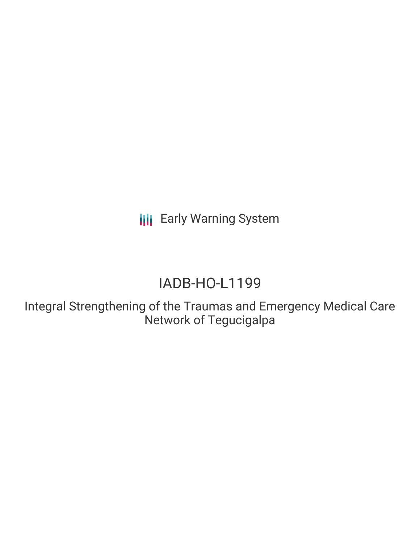**III** Early Warning System

# IADB-HO-L1199

Integral Strengthening of the Traumas and Emergency Medical Care Network of Tegucigalpa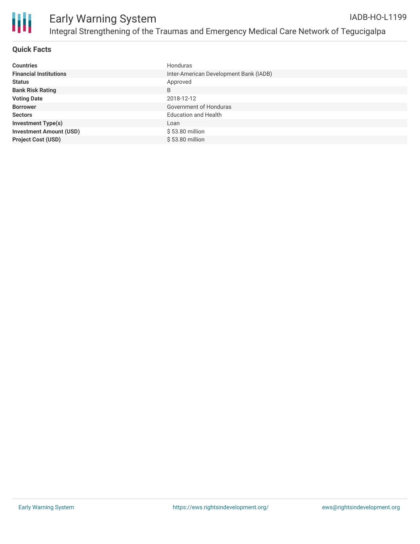

#### **Quick Facts**

| <b>Countries</b>               | Honduras                               |
|--------------------------------|----------------------------------------|
| <b>Financial Institutions</b>  | Inter-American Development Bank (IADB) |
| <b>Status</b>                  | Approved                               |
| <b>Bank Risk Rating</b>        | B                                      |
| <b>Voting Date</b>             | 2018-12-12                             |
| <b>Borrower</b>                | Government of Honduras                 |
| <b>Sectors</b>                 | <b>Education and Health</b>            |
| <b>Investment Type(s)</b>      | Loan                                   |
| <b>Investment Amount (USD)</b> | $$53.80$ million                       |
| <b>Project Cost (USD)</b>      | \$53.80 million                        |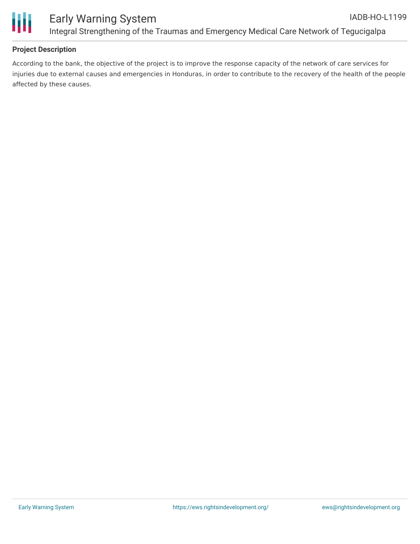

#### **Project Description**

According to the bank, the objective of the project is to improve the response capacity of the network of care services for injuries due to external causes and emergencies in Honduras, in order to contribute to the recovery of the health of the people affected by these causes.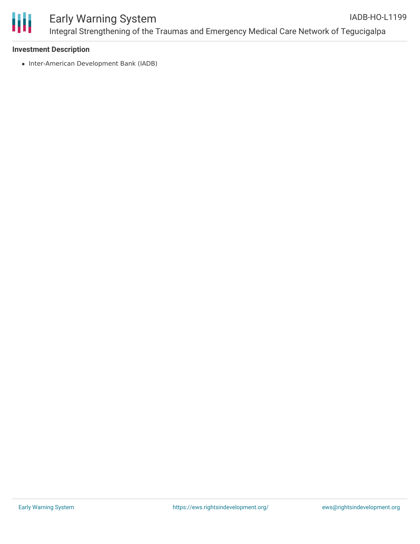

#### **Investment Description**

• Inter-American Development Bank (IADB)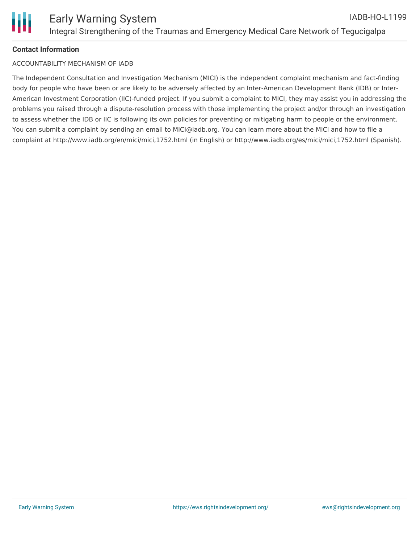### **Contact Information**

#### ACCOUNTABILITY MECHANISM OF IADB

The Independent Consultation and Investigation Mechanism (MICI) is the independent complaint mechanism and fact-finding body for people who have been or are likely to be adversely affected by an Inter-American Development Bank (IDB) or Inter-American Investment Corporation (IIC)-funded project. If you submit a complaint to MICI, they may assist you in addressing the problems you raised through a dispute-resolution process with those implementing the project and/or through an investigation to assess whether the IDB or IIC is following its own policies for preventing or mitigating harm to people or the environment. You can submit a complaint by sending an email to MICI@iadb.org. You can learn more about the MICI and how to file a complaint at http://www.iadb.org/en/mici/mici,1752.html (in English) or http://www.iadb.org/es/mici/mici,1752.html (Spanish).